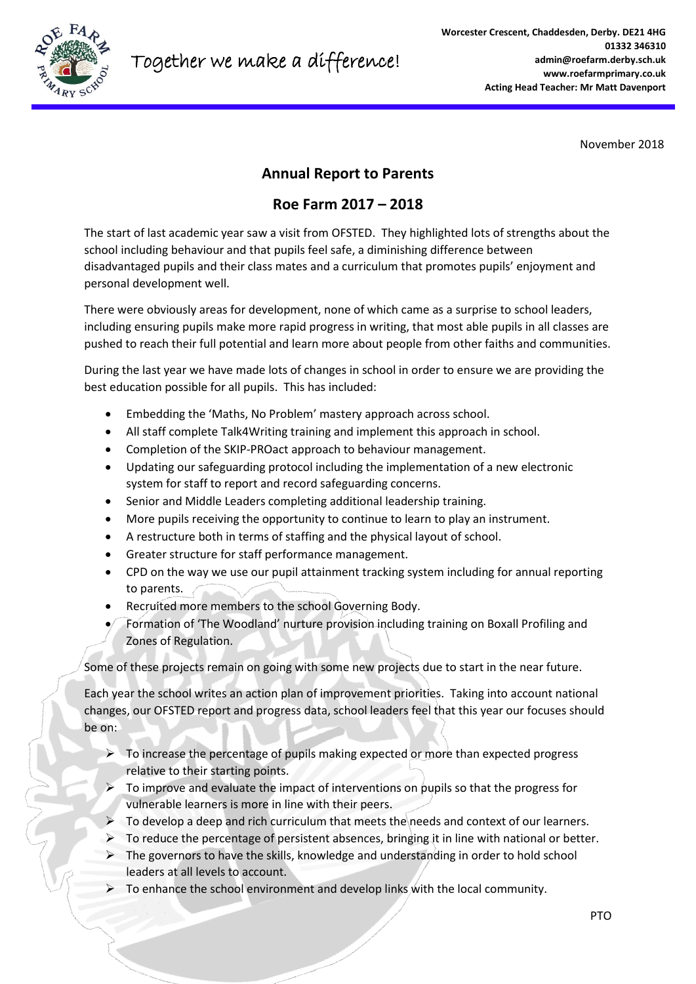

November 2018

## **Annual Report to Parents**

# **Roe Farm 2017 – 2018**

The start of last academic year saw a visit from OFSTED. They highlighted lots of strengths about the school including behaviour and that pupils feel safe, a diminishing difference between disadvantaged pupils and their class mates and a curriculum that promotes pupils' enjoyment and personal development well.

There were obviously areas for development, none of which came as a surprise to school leaders, including ensuring pupils make more rapid progress in writing, that most able pupils in all classes are pushed to reach their full potential and learn more about people from other faiths and communities.

During the last year we have made lots of changes in school in order to ensure we are providing the best education possible for all pupils. This has included:

- Embedding the 'Maths, No Problem' mastery approach across school.
- All staff complete Talk4Writing training and implement this approach in school.
- Completion of the SKIP-PROact approach to behaviour management.
- Updating our safeguarding protocol including the implementation of a new electronic system for staff to report and record safeguarding concerns.
- Senior and Middle Leaders completing additional leadership training.
- More pupils receiving the opportunity to continue to learn to play an instrument.
- A restructure both in terms of staffing and the physical layout of school.
- Greater structure for staff performance management.
- CPD on the way we use our pupil attainment tracking system including for annual reporting to parents.
- Recruited more members to the school Governing Body.
- Formation of 'The Woodland' nurture provision including training on Boxall Profiling and Zones of Regulation.

Some of these projects remain on going with some new projects due to start in the near future.

Each year the school writes an action plan of improvement priorities. Taking into account national changes, our OFSTED report and progress data, school leaders feel that this year our focuses should be on:

- $\triangleright$  To increase the percentage of pupils making expected or more than expected progress relative to their starting points.
- $\triangleright$  To improve and evaluate the impact of interventions on pupils so that the progress for vulnerable learners is more in line with their peers.
- $\triangleright$  To develop a deep and rich curriculum that meets the needs and context of our learners.
- $\triangleright$  To reduce the percentage of persistent absences, bringing it in line with national or better.
- $\triangleright$  The governors to have the skills, knowledge and understanding in order to hold school leaders at all levels to account.
- $\triangleright$  To enhance the school environment and develop links with the local community.